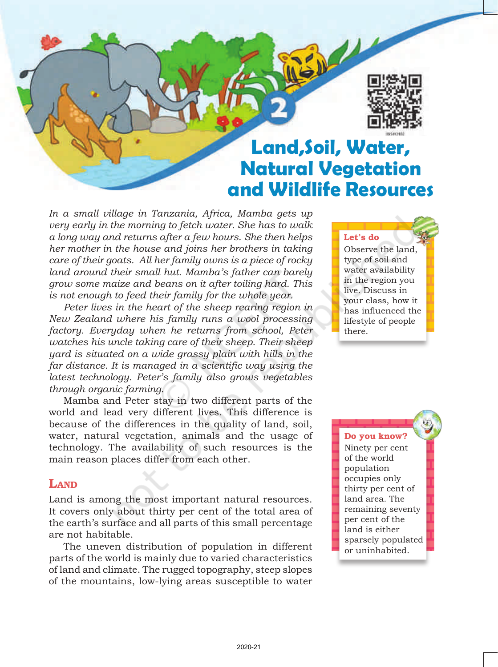

# **Land,Soil, Water, Natural Vegetation and Wildlife Resources**

 $\mathbb{Z}$   $\mathbb{R}$ 

*In a small village in Tanzania, Africa, Mamba gets up very early in the morning to fetch water. She has to walk a long way and returns after a few hours. She then helps her mother in the house and joins her brothers in taking care of their goats. All her family owns is a piece of rocky land around their small hut. Mamba's father can barely grow some maize and beans on it after toiling hard. This is not enough to feed their family for the whole year.*

*Peter lives in the heart of the sheep rearing region in New Zealand where his family runs a wool processing factory. Everyday when he returns from school, Peter watches his uncle taking care of their sheep. Their sheep yard is situated on a wide grassy plain with hills in the far distance. It is managed in a scientific way using the latest technology. Peter's family also grows vegetables through organic farming.*

Mamba and Peter stay in two different parts of the world and lead very different lives. This difference is because of the differences in the quality of land, soil, water, natural vegetation, animals and the usage of technology. The availability of such resources is the main reason places differ from each other.

### **LAND**

Land is among the most important natural resources. It covers only about thirty per cent of the total area of the earth's surface and all parts of this small percentage are not habitable.

The uneven distribution of population in different parts of the world is mainly due to varied characteristics of land and climate. The rugged topography, steep slopes of the mountains, low-lying areas susceptible to water Let's do Observe the land, type of soil and water availability in the region you live. Discuss in your class, how it has influenced the lifestyle of people there.

Do you know?

Ninety per cent of the world population occupies only thirty per cent of land area. The remaining seventy per cent of the land is either sparsely populated or uninhabited.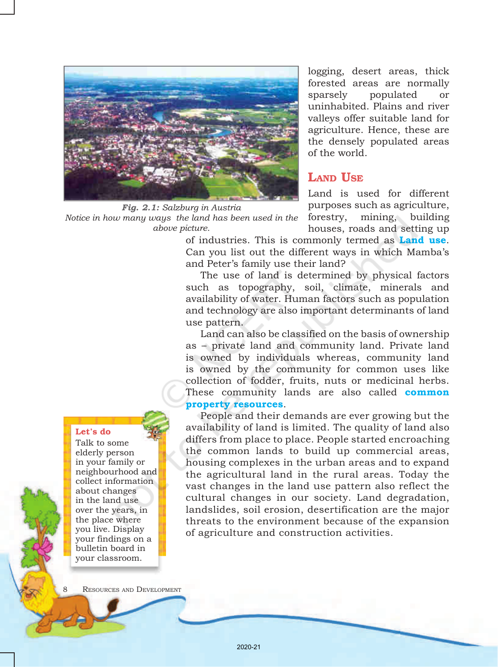

*Fig. 2.1: Salzburg in Austria Notice in how many ways the land has been used in the above picture.*

logging, desert areas, thick forested areas are normally sparsely populated or uninhabited. Plains and river valleys offer suitable land for agriculture. Hence, these are the densely populated areas of the world.

# LAND USE

Land is used for different purposes such as agriculture, forestry, mining, building houses, roads and setting up

of industries. This is commonly termed as **Land use**. Can you list out the different ways in which Mambaís and Peter's family use their land?

The use of land is determined by physical factors such as topography, soil, climate, minerals and availability of water. Human factors such as population and technology are also important determinants of land use pattern.

Land can also be classified on the basis of ownership as – private land and community land. Private land is owned by individuals whereas, community land is owned by the community for common uses like collection of fodder, fruits, nuts or medicinal herbs. These community lands are also called **common property resources**.

People and their demands are ever growing but the availability of land is limited. The quality of land also differs from place to place. People started encroaching the common lands to build up commercial areas, housing complexes in the urban areas and to expand the agricultural land in the rural areas. Today the vast changes in the land use pattern also reflect the cultural changes in our society. Land degradation, landslides, soil erosion, desertification are the major threats to the environment because of the expansion of agriculture and construction activities.

### Let's do

Talk to some elderly person in your family or neighbourhood and collect information about changes in the land use over the years, in the place where you live. Display your findings on a bulletin board in your classroom.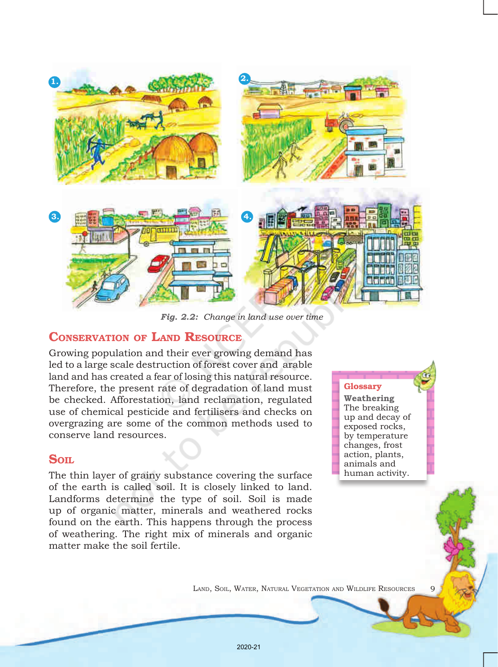

*Fig. 2.2: Change in land use over time*

### CONSERVATION OF LAND RESOURCE

Growing population and their ever growing demand has led to a large scale destruction of forest cover and arable land and has created a fear of losing this natural resource. Therefore, the present rate of degradation of land must be checked. Afforestation, land reclamation, regulated use of chemical pesticide and fertilisers and checks on overgrazing are some of the common methods used to conserve land resources.

### Soil.

The thin layer of grainy substance covering the surface of the earth is called soil. It is closely linked to land. Landforms determine the type of soil. Soil is made up of organic matter, minerals and weathered rocks found on the earth. This happens through the process of weathering. The right mix of minerals and organic matter make the soil fertile.

Glossary

**Weathering** The breaking up and decay of exposed rocks, by temperature changes, frost action, plants, animals and human activity.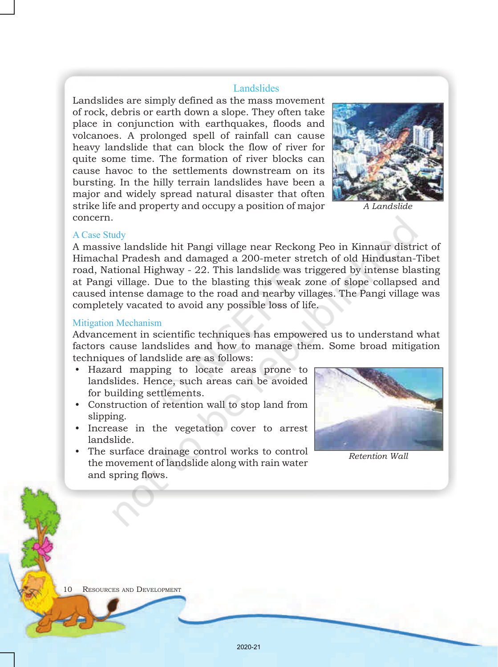### **Landslides**

Landslides are simply defined as the mass movement of rock, debris or earth down a slope. They often take place in conjunction with earthquakes, floods and volcanoes. A prolonged spell of rainfall can cause heavy landslide that can block the flow of river for quite some time. The formation of river blocks can cause havoc to the settlements downstream on its bursting. In the hilly terrain landslides have been a major and widely spread natural disaster that often strike life and property and occupy a position of major concern.



*A Landslide*

#### A Case Study

A massive landslide hit Pangi village near Reckong Peo in Kinnaur district of Himachal Pradesh and damaged a 200-meter stretch of old Hindustan-Tibet road, National Highway - 22. This landslide was triggered by intense blasting at Pangi village. Due to the blasting this weak zone of slope collapsed and caused intense damage to the road and nearby villages. The Pangi village was completely vacated to avoid any possible loss of life.

#### Mitigation Mechanism

Advancement in scientific techniques has empowered us to understand what factors cause landslides and how to manage them. Some broad mitigation techniques of landslide are as follows:

- • Hazard mapping to locate areas prone to landslides. Hence, such areas can be avoided for building settlements.
- • Construction of retention wall to stop land from slipping.
- Increase in the vegetation cover to arrest landslide.
- The surface drainage control works to control the movement of landslide along with rain water and spring flows.



*Retention Wall*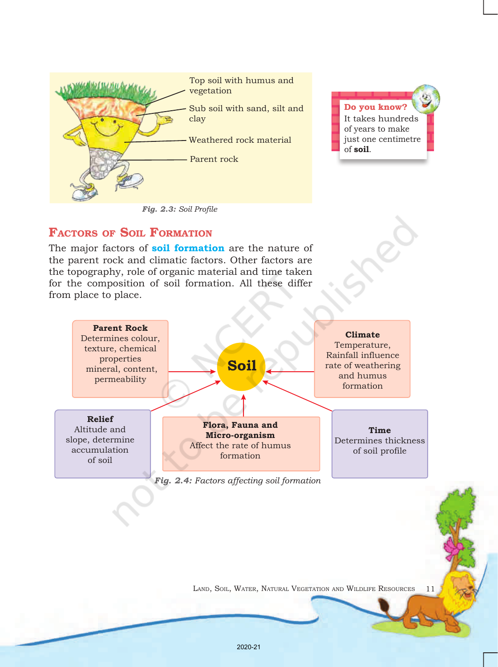

*Fig. 2.3: Soil Profile*

Do you know? It takes hundreds of years to make just one centimetre of **soil**.

## FACTORS OF SOIL FORMATION

The major factors of **soil formation** are the nature of the parent rock and climatic factors. Other factors are the topography, role of organic material and time taken for the composition of soil formation. All these differ from place to place.

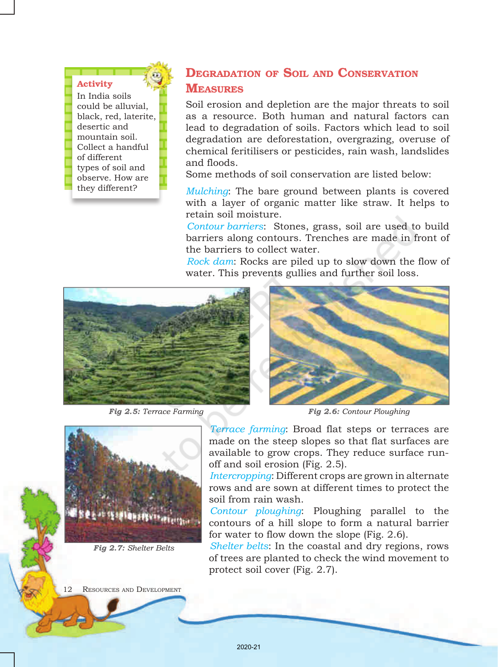### Activity

In India soils could be alluvial, black, red, laterite, desertic and mountain soil. Collect a handful of different types of soil and observe. How are they different?

# DEGRADATION OF SOIL AND CONSERVATION **MEASURES**

Soil erosion and depletion are the major threats to soil as a resource. Both human and natural factors can lead to degradation of soils. Factors which lead to soil degradation are deforestation, overgrazing, overuse of chemical feritilisers or pesticides, rain wash, landslides and floods.

Some methods of soil conservation are listed below:

*Mulching*: The bare ground between plants is covered with a layer of organic matter like straw. It helps to retain soil moisture.

*Contour barriers*: Stones, grass, soil are used to build barriers along contours. Trenches are made in front of the barriers to collect water.

*Rock dam*: Rocks are piled up to slow down the flow of water. This prevents gullies and further soil loss.



*Fig 2.5: Terrace Farming*



*Fig 2.6: Contour Ploughing*



*Fig 2.7: Shelter Belts*

*Terrace farming*: Broad flat steps or terraces are made on the steep slopes so that flat surfaces are available to grow crops. They reduce surface runoff and soil erosion (Fig. 2.5).

*Intercropping*: Different crops are grown in alternate rows and are sown at different times to protect the soil from rain wash.

*Contour ploughing*: Ploughing parallel to the contours of a hill slope to form a natural barrier for water to flow down the slope (Fig. 2.6).

*Shelter belts*: In the coastal and dry regions, rows of trees are planted to check the wind movement to protect soil cover (Fig. 2.7).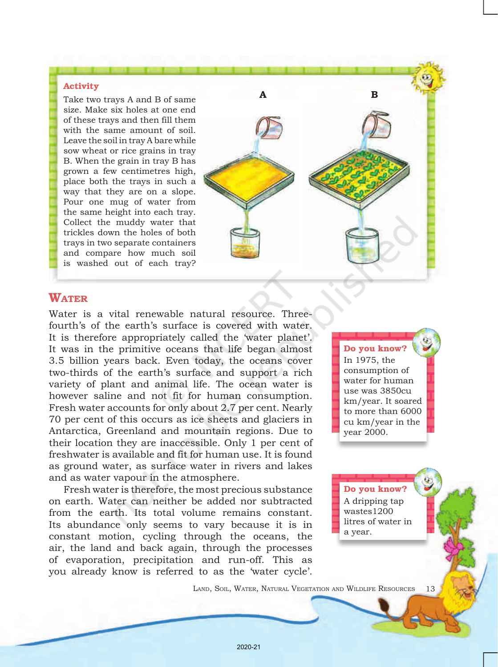### Activity

Take two trays A and B of same size. Make six holes at one end of these trays and then fill them with the same amount of soil. Leave the soil in tray A bare while sow wheat or rice grains in tray B. When the grain in tray B has grown a few centimetres high, place both the trays in such a way that they are on a slope. Pour one mug of water from the same height into each tray. Collect the muddy water that trickles down the holes of both trays in two separate containers and compare how much soil is washed out of each tray?



# **WATER**

Water is a vital renewable natural resource. Threefourth's of the earth's surface is covered with water. It is therefore appropriately called the 'water planet'. It was in the primitive oceans that life began almost 3.5 billion years back. Even today, the oceans cover two-thirds of the earth's surface and support a rich variety of plant and animal life. The ocean water is however saline and not fit for human consumption. Fresh water accounts for only about 2.7 per cent. Nearly 70 per cent of this occurs as ice sheets and glaciers in Antarctica, Greenland and mountain regions. Due to their location they are inaccessible. Only 1 per cent of freshwater is available and fit for human use. It is found as ground water, as surface water in rivers and lakes and as water vapour in the atmosphere.

Fresh water is therefore, the most precious substance on earth. Water can neither be added nor subtracted from the earth. Its total volume remains constant. Its abundance only seems to vary because it is in constant motion, cycling through the oceans, the air, the land and back again, through the processes of evaporation, precipitation and run-off. This as you already know is referred to as the 'water cycle'.

Do you know? In 1975, the consumption of water for human use was 3850cu km/year. It soared to more than 6000 cu km/year in the year 2000.

Do you know? A dripping tap wastes1200 litres of water in a year.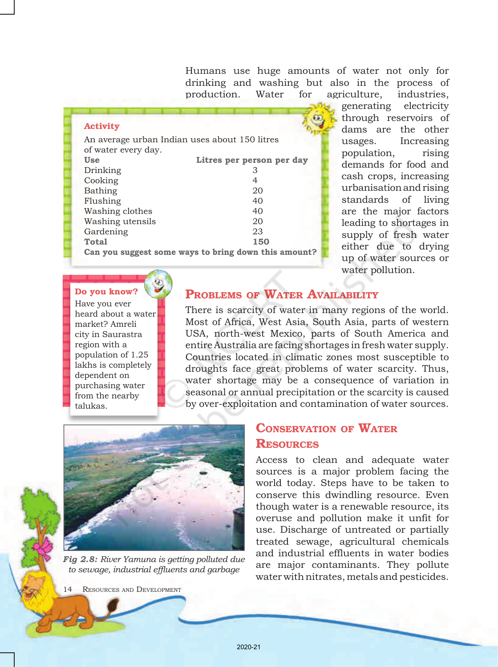Humans use huge amounts of water not only for drinking and washing but also in the process of production. Water for agriculture, industries,

#### Activity

| Use              | Litres per person per day                            |  |  |  |
|------------------|------------------------------------------------------|--|--|--|
| Drinking         | З                                                    |  |  |  |
| Cooking          | 4                                                    |  |  |  |
| Bathing          | 20                                                   |  |  |  |
| Flushing         | 40                                                   |  |  |  |
| Washing clothes  | 40                                                   |  |  |  |
| Washing utensils | 20                                                   |  |  |  |
| Gardening        | 23                                                   |  |  |  |
| <b>Total</b>     | 150                                                  |  |  |  |
|                  | Can you suggest some ways to bring down this amount? |  |  |  |

generating electricity through reservoirs of dams are the other usages. Increasing population, rising demands for food and cash crops, increasing urbanisation and rising standards of living are the major factors leading to shortages in supply of fresh water either due to drying up of water sources or water pollution.

### Do you know?

Have you ever heard about a water market? Amreli city in Saurastra region with a population of 1.25 lakhs is completely dependent on purchasing water from the nearby talukas.

### PROBLEMS OF WATER AVAILABILITY

There is scarcity of water in many regions of the world. Most of Africa, West Asia, South Asia, parts of western USA, north-west Mexico, parts of South America and entire Australia are facing shortages in fresh water supply. Countries located in climatic zones most susceptible to droughts face great problems of water scarcity. Thus, water shortage may be a consequence of variation in seasonal or annual precipitation or the scarcity is caused by over-exploitation and contamination of water sources.



*Fig 2.8: River Yamuna is getting polluted due to sewage, industrial effluents and garbage*

RESOURCES AND DEVELOPMENT

# Conservation of Water **RESOURCES**

Access to clean and adequate water sources is a major problem facing the world today. Steps have to be taken to conserve this dwindling resource. Even though water is a renewable resource, its overuse and pollution make it unfit for use. Discharge of untreated or partially treated sewage, agricultural chemicals and industrial effluents in water bodies are major contaminants. They pollute water with nitrates, metals and pesticides.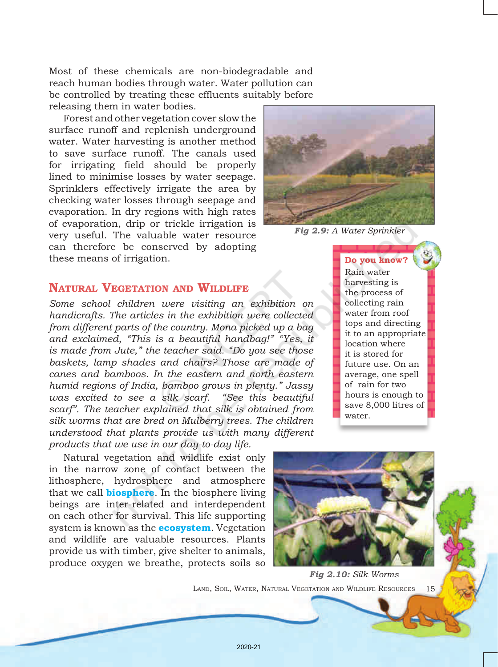Most of these chemicals are non-biodegradable and reach human bodies through water. Water pollution can be controlled by treating these effluents suitably before releasing them in water bodies.

Forest and other vegetation cover slow the surface runoff and replenish underground water. Water harvesting is another method to save surface runoff. The canals used for irrigating field should be properly lined to minimise losses by water seepage. Sprinklers effectively irrigate the area by checking water losses through seepage and evaporation. In dry regions with high rates of evaporation, drip or trickle irrigation is very useful. The valuable water resource can therefore be conserved by adopting these means of irrigation.

# NATURAL VEGETATION AND WILDLIFE

*Some school children were visiting an exhibition on handicrafts. The articles in the exhibition were collected from different parts of the country. Mona picked up a bag and exclaimed, "This is a beautiful handbag!" "Yes, it is made from Jute," the teacher said. "Do you see those baskets, lamp shades and chairs? Those are made of canes and bamboos. In the eastern and north eastern humid regions of India, bamboo grows in plenty." Jassy was excited to see a silk scarf. "See this beautiful scarf". The teacher explained that silk is obtained from silk worms that are bred on Mulberry trees. The children understood that plants provide us with many different products that we use in our day-to-day life.* 

Natural vegetation and wildlife exist only in the narrow zone of contact between the lithosphere, hydrosphere and atmosphere that we call **biosphere**. In the biosphere living beings are inter-related and interdependent on each other for survival. This life supporting system is known as the **ecosystem**. Vegetation and wildlife are valuable resources. Plants provide us with timber, give shelter to animals, produce oxygen we breathe, protects soils so



*Fig 2.9: A Water Sprinkler*

Do you know? Rain water harvesting is the process of collecting rain water from roof tops and directing it to an appropriate location where it is stored for future use. On an average, one spell of rain for two hours is enough to save 8,000 litres of water.



LAND, SOIL, WATER, NATURAL VEGETATION AND WILDLIFE RESOURCES 15 *Fig 2.10: Silk Worms*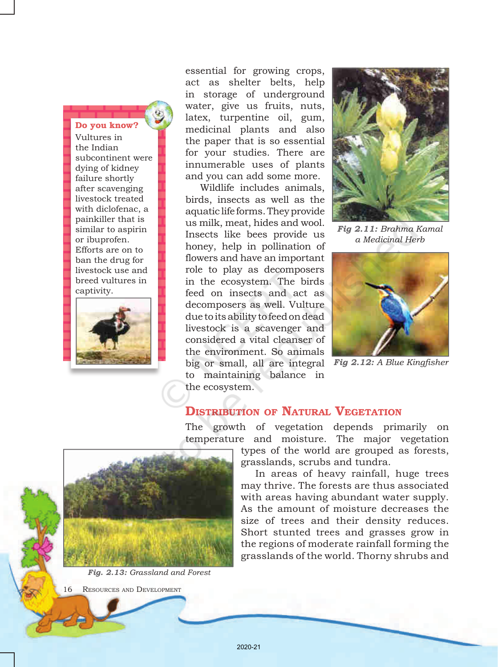### Do you know?

Vultures in the Indian subcontinent were dying of kidney failure shortly after scavenging livestock treated with diclofenac, a painkiller that is similar to aspirin or ibuprofen. Efforts are on to ban the drug for livestock use and breed vultures in captivity.



essential for growing crops, act as shelter belts, help in storage of underground water, give us fruits, nuts, latex, turpentine oil, gum, medicinal plants and also the paper that is so essential for your studies. There are innumerable uses of plants and you can add some more.

Wildlife includes animals, birds, insects as well as the aquatic life forms. They provide us milk, meat, hides and wool. Insects like bees provide us honey, help in pollination of flowers and have an important role to play as decomposers in the ecosystem. The birds feed on insects and act as decomposers as well. Vulture due to its ability to feed on dead livestock is a scavenger and considered a vital cleanser of the environment. So animals big or small, all are integral *Fig 2.12: A Blue Kingfisher* to maintaining balance in the ecosystem.



*Fig 2.11: Brahma Kamal a Medicinal Herb*



### DISTRIBUTION OF NATURAL VEGETATION

The growth of vegetation depends primarily on temperature and moisture. The major vegetation

types of the world are grouped as forests, grasslands, scrubs and tundra.

In areas of heavy rainfall, huge trees may thrive. The forests are thus associated with areas having abundant water supply. As the amount of moisture decreases the size of trees and their density reduces. Short stunted trees and grasses grow in the regions of moderate rainfall forming the grasslands of the world. Thorny shrubs and



*Fig. 2.13: Grassland and Forest*

RESOURCES AND DEVELOPMENT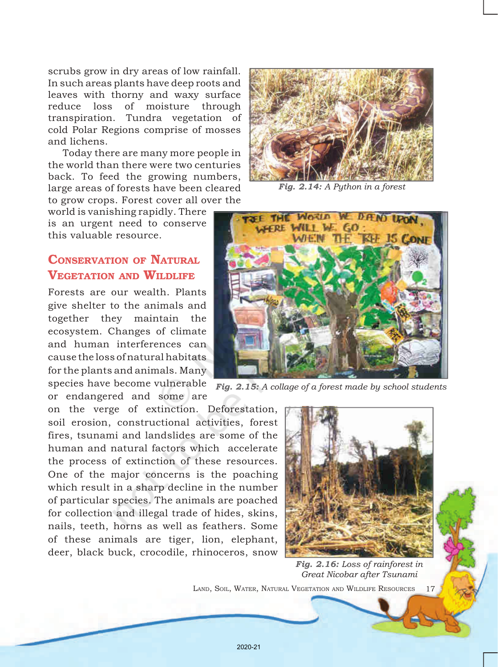scrubs grow in dry areas of low rainfall. In such areas plants have deep roots and leaves with thorny and waxy surface reduce loss of moisture through transpiration. Tundra vegetation of cold Polar Regions comprise of mosses and lichens.

Today there are many more people in the world than there were two centuries back. To feed the growing numbers, large areas of forests have been cleared to grow crops. Forest cover all over the

world is vanishing rapidly. There is an urgent need to conserve this valuable resource.

# CONSERVATION OF NATURAL VEGETATION AND WILDLIFE

Forests are our wealth. Plants give shelter to the animals and together they maintain the ecosystem. Changes of climate and human interferences can cause the loss of natural habitats for the plants and animals. Many

or endangered and some are

on the verge of extinction. Deforestation, soil erosion, constructional activities, forest fires, tsunami and landslides are some of the human and natural factors which accelerate the process of extinction of these resources. One of the major concerns is the poaching which result in a sharp decline in the number of particular species. The animals are poached for collection and illegal trade of hides, skins, nails, teeth, horns as well as feathers. Some of these animals are tiger, lion, elephant, deer, black buck, crocodile, rhinoceros, snow



*Fig. 2.14: A Python in a forest*



species have become vulnerable *Fig. 2.15: A collage of a forest made by school students*



*Fig. 2.16: Loss of rainforest in Great Nicobar after Tsunami*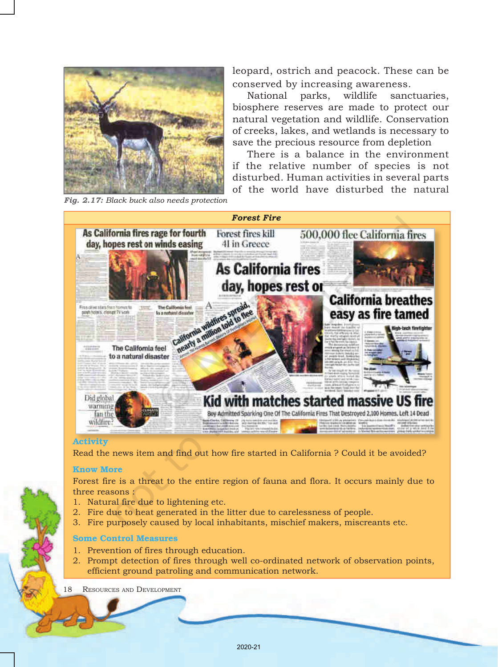

leopard, ostrich and peacock. These can be conserved by increasing awareness.

National parks, wildlife sanctuaries, biosphere reserves are made to protect our natural vegetation and wildlife. Conservation of creeks, lakes, and wetlands is necessary to save the precious resource from depletion

There is a balance in the environment if the relative number of species is not disturbed. Human activities in several parts of the world have disturbed the natural

*Forest Fire* As California fires rage for fourth Forest fires kill 500,000 flee California fires day, hopes rest on winds easing 41 in Greece **As California fires** day, hopes rest or **California breathes** Filse clive stars from homes to The Culifornia feel posh hours, clange TV work easy as fire tamed lo a naturni dissatr California will alifornia wildfun The California feel to a natural disaster Did global Kid with matches started massive US fire warming. Boy Admitted Sparking One Of The California Fires That Destroyed 2,100 Homes, Left 14 Dead fan the wildfire?

### Activity

Read the news item and find out how fire started in California ? Could it be avoided?

#### Know More

Forest fire is a threat to the entire region of fauna and flora. It occurs mainly due to three reasons :

- 1. Natural fire due to lightening etc.
- 2. Fire due to heat generated in the litter due to carelessness of people.
- 3. Fire purposely caused by local inhabitants, mischief makers, miscreants etc.

### Some Control Measures

- 1. Prevention of fires through education.
- 2. Prompt detection of fires through well co-ordinated network of observation points, efficient ground patroling and communication network.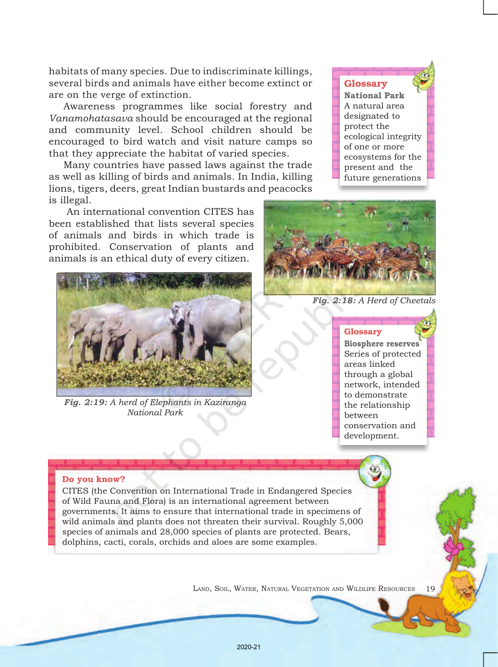habitats of many species. Due to indiscriminate killings, several birds and animals have either become extinct or are on the verge of extinction.

Awareness programmes like social forestry and *Vanamohatasava* should be encouraged at the regional and community level. School children should be encouraged to bird watch and visit nature camps so that they appreciate the habitat of varied species.

Many countries have passed laws against the trade as well as killing of birds and animals. In India, killing lions, tigers, deers, great Indian bustards and peacocks is illegal.

 An international convention CITES has been established that lists several species of animals and birds in which trade is prohibited. Conservation of plants and animals is an ethical duty of every citizen.



*Fig. 2:19: A herd of Elephants in Kaziranga National Park*

Glossary

**National Park**  A natural area designated to protect the ecological integrity of one or more ecosystems for the present and the future generations



*Fig. 2:18: A Herd of Cheetals*

#### Glossary

**Biosphere reserves**  Series of protected areas linked through a global network, intended to demonstrate the relationship between conservation and development.

#### Do you know?

CITES (the Convention on International Trade in Endangered Species of Wild Fauna and Flora) is an international agreement between governments. It aims to ensure that international trade in specimens of wild animals and plants does not threaten their survival. Roughly 5,000 species of animals and 28,000 species of plants are protected. Bears, dolphins, cacti, corals, orchids and aloes are some examples.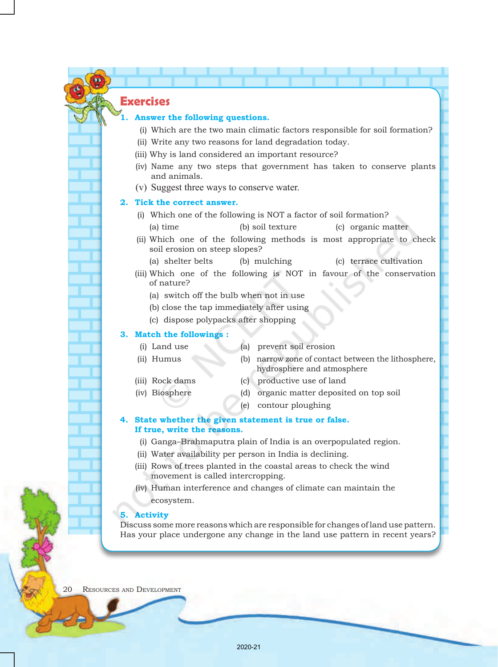# **Exercises**

#### **1. Answer the following questions.**

- (i) Which are the two main climatic factors responsible for soil formation?
- (ii) Write any two reasons for land degradation today.
- (iii) Why is land considered an important resource?
- (iv) Name any two steps that government has taken to conserve plants and animals.
- (v) Suggest three ways to conserve water.

#### **2. Tick the correct answer.**

- (i) Which one of the following is NOT a factor of soil formation? (a) time (b) soil texture (c) organic matter
- (ii) Which one of the following methods is most appropriate to check soil erosion on steep slopes?
	- (a) shelter belts (b) mulching (c) terrace cultivation
- (iii) Which one of the following is NOT in favour of the conservation of nature?
	- (a) switch off the bulb when not in use
	- (b) close the tap immediately after using
	- (c) dispose polypacks after shopping

### **3. Match the followings :**

- 
- (i) Land use (a) prevent soil erosion
- (ii) Humus (b) narrow zone of contact between the lithosphere,
- 
- 
- (iii) Rock dams (c) productive use of land
- 
- (iv) Biosphere (d) organic matter deposited on top soil

hydrosphere and atmosphere

- 
- (e) contour ploughing

#### **4. State whether the given statement is true or false. If true, write the reasons.**

- (i) Ganga–Brahmaputra plain of India is an overpopulated region.
- (ii) Water availability per person in India is declining.
- (iii) Rows of trees planted in the coastal areas to check the wind movement is called intercropping.
- (iv) Human interference and changes of climate can maintain the ecosystem.

#### **5. Activity**

Discuss some more reasons which are responsible for changes of land use pattern. Has your place undergone any change in the land use pattern in recent years?